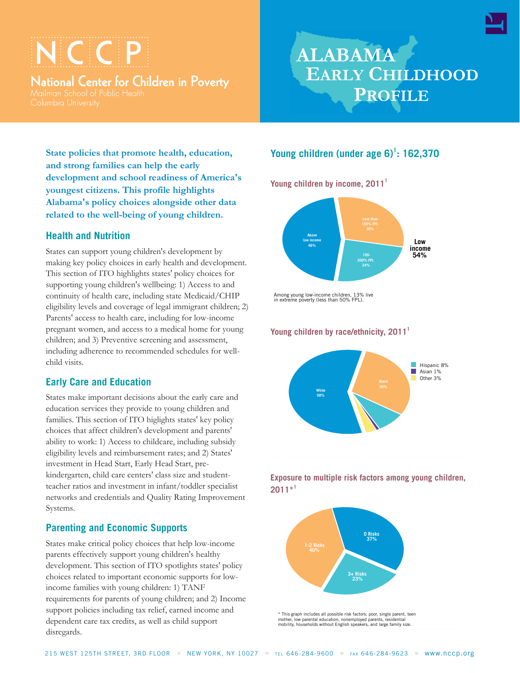# $\subset \subset \mathsf{P}$

National Center for Children in Poverty

## **ALABAMA EARLY CHILDHOOD PROFILE**

**State policies that promote health, education, and strong families can help the early development and school readiness of America's youngest citizens. This profile highlights Alabama's policy choices alongside other data related to the well-being of young children.**

#### **Health and Nutrition**

States can support young children's development by making key policy choices in early health and development. This section of ITO highlights states' policy choices for supporting young children's wellbeing: 1) Access to and continuity of health care, including state Medicaid/CHIP eligibility levels and coverage of legal immigrant children; 2) Parents' access to health care, including for low-income pregnant women, and access to a medical home for young children; and 3) Preventive screening and assessment, including adherence to recommended schedules for wellchild visits.

## **Early Care and Education**

States make important decisions about the early care and education services they provide to young children and families. This section of ITO higlights states' key policy choices that affect children's development and parents' ability to work: 1) Access to childcare, including subsidy eligibility levels and reimbursement rates; and 2) States' investment in Head Start, Early Head Start, prekindergarten, child care centers' class size and studentteacher ratios and investment in infant/toddler specialist networks and credentials and Quality Rating Improvement Systems.

## **Parenting and Economic Supports**

States make critical policy choices that help low-income parents effectively support young children's healthy development. This section of ITO spotlights states' policy choices related to important economic supports for lowincome families with young children: 1) TANF requirements for parents of young children; and 2) Income support policies including tax relief, earned income and dependent care tax credits, as well as child support disregards.

## **Young children (under age 6)<sup>1</sup> : 162,370**

**Young children by income, 2011<sup>1</sup>**









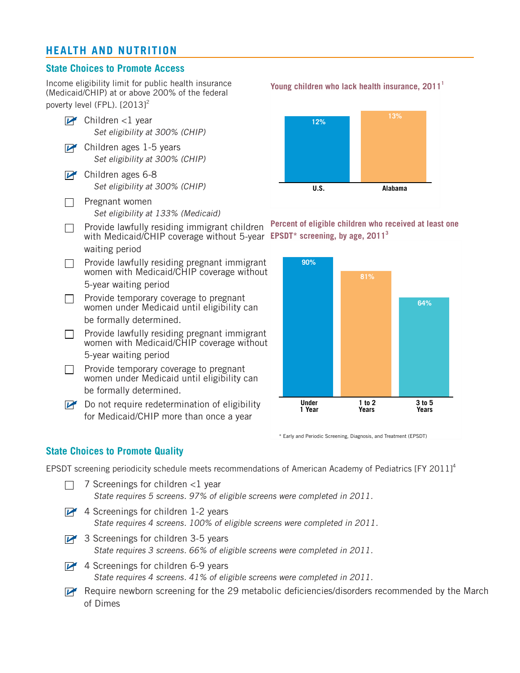## **HEALTH AND NUTRITION**

#### **State Choices to Promote Access**

Income eligibility limit for public health insurance (Medicaid/CHIP) at or above 200% of the federal poverty level (FPL). [2013]<sup>2</sup>

- $\triangleright$  Children <1 year *Set eligibility at 300% (CHIP)*
- $\triangleright$  Children ages 1-5 years *Set eligibility at 300% (CHIP)*
- **P** Children ages 6-8 *Set eligibility at 300% (CHIP)*
- Pregnant women  $\Box$ *Set eligibility at 133% (Medicaid)*
- Provide lawfully residing immigrant children  $\Box$ with Medicaid/CHIP coverage without 5-year EPSDT\* screening, by age, 2011<sup>3</sup> waiting period

Provide lawfully residing pregnant immigrant  $\Box$ women with Medicaid/CHIP coverage without 5-year waiting period

- $\Box$ Provide temporary coverage to pregnant women under Medicaid until eligibility can be formally determined.
- Provide lawfully residing pregnant immigrant  $\Box$ women with Medicaid/CHIP coverage without 5-year waiting period
- Provide temporary coverage to pregnant  $\Box$ women under Medicaid until eligibility can be formally determined.

 $\triangleright$  Do not require redetermination of eligibility for Medicaid/CHIP more than once a year



**Percent of eligible children who received at least one**



\* Early and Periodic Screening, Diagnosis, and Treatment (EPSDT)

#### **State Choices to Promote Quality**

EPSDT screening periodicity schedule meets recommendations of American Academy of Pediatrics [FY 2011]<sup>4</sup>

|                | 7 Screenings for children <1 year<br>State requires 5 screens. 97% of eligible screens were completed in 2011.                    |
|----------------|-----------------------------------------------------------------------------------------------------------------------------------|
| $\overline{V}$ | 4 Screenings for children 1-2 years<br>State requires 4 screens. 100% of eligible screens were completed in 2011.                 |
|                | $\triangleright$ 3 Screenings for children 3-5 years<br>State requires 3 screens. 66% of eligible screens were completed in 2011. |
|                | 4 Screenings for children 6-9 years<br>State requires 4 screens. 41% of eligible screens were completed in 2011.                  |
|                | Require newborn screening for the 29 metabolic deficiencies/disorders recommended by the March<br>of Dimes                        |

**Young children who lack health insurance, 2011<sup>1</sup>**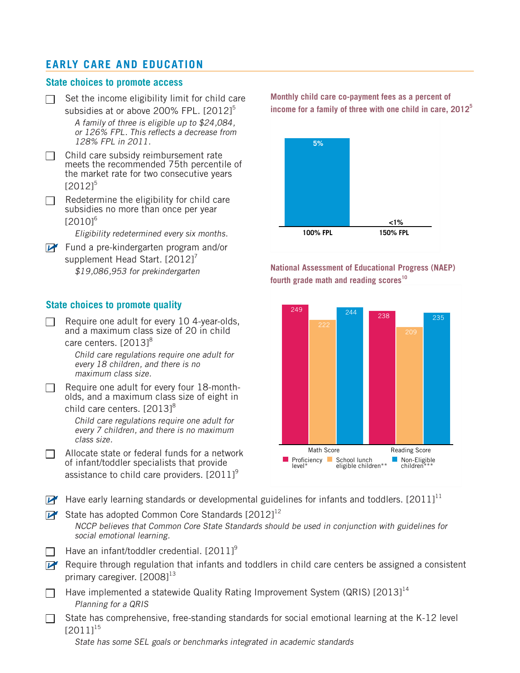## **EARLY CARE AND EDUCATION**

#### **State choices to promote access**

 $\Box$  Set the income eligibility limit for child care subsidies at or above 200% FPL.  $[2012]^{5}$ *A family of three is eligible up to \$24,084, or 126% FPL. This reflects a decrease from*

*128% FPL in 2011.*

- $\Box$  Child care subsidy reimbursement rate meets the recommended 75th percentile of the market rate for two consecutive years  $[2012]^{5}$
- $\Box$  Redetermine the eligibility for child care subsidies no more than once per year  $[2010]^{6}$

*Eligibility redetermined every six months.*

Fund a pre-kindergarten program and/or supplement Head Start.  $[2012]'$ *\$19,086,953 for prekindergarten*

### **State choices to promote quality**

Require one adult for every 10 4-year-olds,  $\Box$ and a maximum class size of 20 in child care centers. [2013]<sup>8</sup>

> *Child care regulations require one adult for every 18 children, and there is no maximum class size.*

Require one adult for every four 18-montholds, and a maximum class size of eight in

child care centers. [2013]<sup>8</sup>

*Child care regulations require one adult for every 7 children, and there is no maximum class size.*

Allocate state or federal funds for a network  $\Box$ of infant/toddler specialists that provide assistance to child care providers.  $[2011]^\circ$ 

**Monthly child care co-payment fees as a percent of income for a family of three with one child in care, 2012<sup>5</sup>**



**National Assessment of Educational Progress (NAEP) fourth grade math and reading scores<sup>10</sup>**



Have early learning standards or developmental guidelines for infants and toddlers. [2011]<sup>11</sup>

 $\mathbb{Z}$  State has adopted Common Core Standards [2012]<sup>12</sup> *NCCP believes that Common Core State Standards should be used in conjunction with guidelines for social emotional learning.*

- Have an infant/toddler credential. [2011]<sup>9</sup>
- $\mathbb{F}$  Require through regulation that infants and toddlers in child care centers be assigned a consistent primary caregiver. [2008]<sup>13</sup>
- Have implemented a statewide Quality Rating Improvement System (QRIS)  $[2013]^{14}$ *Planning for a QRIS*
- State has comprehensive, free-standing standards for social emotional learning at the K-12 level  $\perp$  $[2011]^{15}$

*State has some SEL goals or benchmarks integrated in academic standards*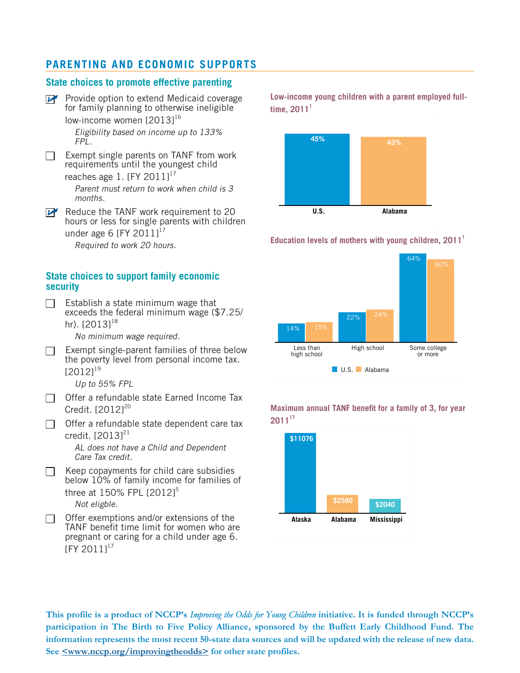## **PARENTING AND ECONOMIC SUPPORTS**

#### **State choices to promote effective parenting**

 $\mathbb{F}$  Provide option to extend Medicaid coverage for family planning to otherwise ineligible low-income women [2013]<sup>16</sup>

> *Eligibility based on income up to 133% FPL.*

Exempt single parents on TANF from work П requirements until the youngest child

reaches age  $1.$  [FY 2011]<sup>17</sup>

*Parent must return to work when child is 3 months.*

Reduce the TANF work requirement to 20 hours or less for single parents with children under age 6  $[FY 2011]^{17}$ 

*Required to work 20 hours.*

#### **State choices to support family economic security**

 $\Box$ Establish a state minimum wage that exceeds the federal minimum wage (\$7.25/ hr). [20131<sup>18</sup>

*No minimum wage required.*

Exempt single-parent families of three below the poverty level from personal income tax.  $[2012]^{19}$ 

*Up to 55% FPL*

- $\Box$  Offer a refundable state Earned Income Tax Credit. [2012]<sup>20</sup>
- $\Box$  Offer a refundable state dependent care tax credit. [2013]<sup>21</sup>

*AL does not have a Child and Dependent Care Tax credit.*

Keep copayments for child care subsidies below 10% of family income for families of three at 150% FPL [2012]<sup>5</sup> *Not eligble.*

Offer exemptions and/or extensions of the  $\Box$ TANF benefit time limit for women who are pregnant or caring for a child under age 6. [FY 2011]<sup>17</sup>

**Low-income young children with a parent employed fulltime, 2011<sup>1</sup>**



#### **Education levels of mothers with young children, 2011<sup>1</sup>**





**Maximum annual TANF benefit for a family of 3, for year 2011<sup>17</sup>**

This profile is a product of NCCP's Improving the Odds for Young Children initiative. It is funded through NCCP's **participation in The Birth to Five Policy Alliance, sponsored by the Buffett Early Childhood Fund. The** information represents the most recent 50-state data sources and will be updated with the release of new data. **See <www.nccp.org/improvingtheodds> for other state profiles.**